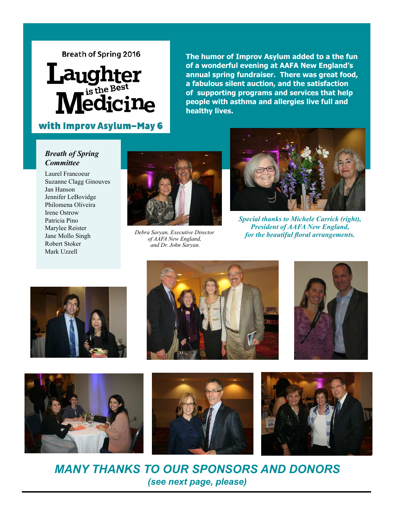# **Breath of Spring 2016**

# Laughter<br>Medicine

# with Improv Asylum-May 6

**The humor of Improv Asylum added to a the fun of a wonderful evening at AAFA New England's annual spring fundraiser. There was great food, a fabulous silent auction, and the satisfaction of supporting programs and services that help people with asthma and allergies live full and healthy lives.** 

## *Breath of Spring Committee*

Laurel Francoeur Suzanne Clagg Ginouves Jan Hanson Jennifer LeBovidge Philomena Oliveira Irene Ostrow Patricia Pino Marylee Reister Jane Mollo Singh Robert Stoker Mark Uzzell



*Debra Saryan, Executive Director of AAFA New England, and Dr. John Saryan.* 



*Special thanks to Michele Carrick (right), President of AAFA New England, for the beautiful floral arrangements.* 













*MANY THANKS TO OUR SPONSORS AND DONORS (see next page, please)*